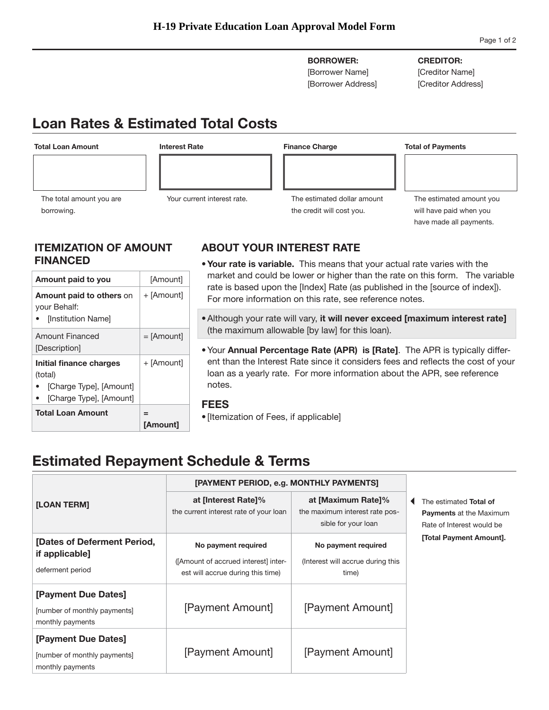**BORROWER:**  [Borrower Name]

[Borrower Address]

### **CREDITOR:**

[Creditor Name] [Creditor Address]

# **Loan Rates & Estimated Total Costs**



## **ITEMIZATION OF AMOUNT FINANCED**

| <b>Total Loan Amount</b>                                                                 | $=$<br><b>[Amount]</b> |
|------------------------------------------------------------------------------------------|------------------------|
| Initial finance charges<br>(total)<br>[Charge Type], [Amount]<br>[Charge Type], [Amount] | + [Amount]             |
| Amount Financed<br>[Description]                                                         | $=$ [Amount]           |
| <b>Amount paid to others on</b><br>your Behalf:<br>[Institution Name]                    | + [Amount]             |
| Amount paid to you                                                                       | [Amount]               |
|                                                                                          |                        |

# **ABOUT YOUR INTEREST RATE**

- **Your rate is variable.** This means that your actual rate varies with the market and could be lower or higher than the rate on this form. The variable rate is based upon the [Index] Rate (as published in the [source of index]). For more information on this rate, see reference notes.
- • Although your rate will vary, **it will never exceed [maximum interest rate]**  (the maximum allowable [by law] for this loan).
- ent than the Interest Rate since it considers fees and reflects the cost of your • Your **Annual Percentage Rate (APR) is [Rate]**. The APR is typically differloan as a yearly rate. For more information about the APR, see reference notes.

## **FEES**

• [Itemization of Fees, if applicable]

# **Estimated Repayment Schedule & Terms**

|                                                                         | [PAYMENT PERIOD, e.g. MONTHLY PAYMENTS]                                                          |                                                                             |                                                                                       |
|-------------------------------------------------------------------------|--------------------------------------------------------------------------------------------------|-----------------------------------------------------------------------------|---------------------------------------------------------------------------------------|
| [LOAN TERM]                                                             | at [Interest Rate]%<br>the current interest rate of your loan                                    | at [Maximum Rate]%<br>the maximum interest rate pos-<br>sible for your loan | The estimated Total of<br><b>Payments at the Maximum</b><br>Rate of Interest would be |
| [Dates of Deferment Period,<br>if applicable]<br>deferment period       | No payment required<br>([Amount of accrued interest] inter-<br>est will accrue during this time) | No payment required<br>(Interest will accrue during this<br>time)           | [Total Payment Amount].                                                               |
| [Payment Due Dates]<br>[number of monthly payments]<br>monthly payments | [Payment Amount]                                                                                 | [Payment Amount]                                                            |                                                                                       |
| [Payment Due Dates]<br>[number of monthly payments]<br>monthly payments | [Payment Amount]                                                                                 | [Payment Amount]                                                            |                                                                                       |